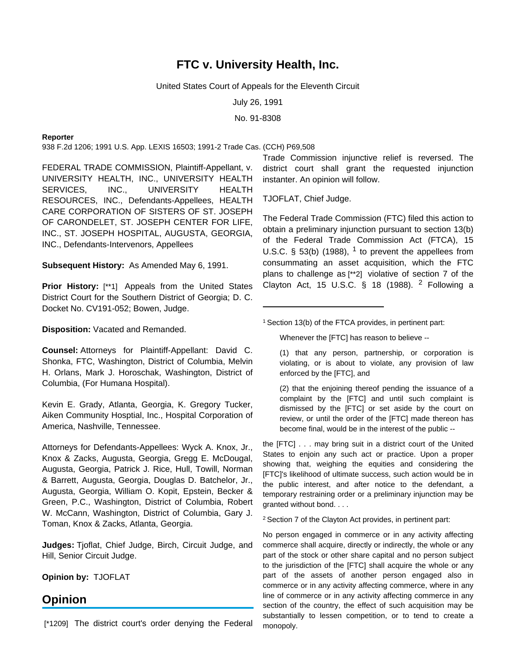# **FTC v. University Health, Inc.**

# United States Court of Appeals for the Eleventh Circuit

July 26, 1991

No. 91-8308

# **Reporter**

938 F.2d 1206; 1991 U.S. App. LEXIS 16503; 1991-2 Trade Cas. (CCH) P69,508

FEDERAL TRADE COMMISSION, Plaintiff-Appellant, v. UNIVERSITY HEALTH, INC., UNIVERSITY HEALTH SERVICES, INC., UNIVERSITY HEALTH RESOURCES, INC., Defendants-Appellees, HEALTH CARE CORPORATION OF SISTERS OF ST. JOSEPH OF CARONDELET, ST. JOSEPH CENTER FOR LIFE, INC., ST. JOSEPH HOSPITAL, AUGUSTA, GEORGIA, INC., Defendants-Intervenors, Appellees

**Subsequent History:** As Amended May 6, 1991.

**Prior History:** [\*\*1] Appeals from the United States District Court for the Southern District of Georgia; D. C. Docket No. CV191-052; Bowen, Judge.

**Disposition:** Vacated and Remanded.

**Counsel:** Attorneys for Plaintiff-Appellant: David C. Shonka, FTC, Washington, District of Columbia, Melvin H. Orlans, Mark J. Horoschak, Washington, District of Columbia, (For Humana Hospital).

Kevin E. Grady, Atlanta, Georgia, K. Gregory Tucker, Aiken Community Hosptial, Inc., Hospital Corporation of America, Nashville, Tennessee.

Attorneys for Defendants-Appellees: Wyck A. Knox, Jr., Knox & Zacks, Augusta, Georgia, Gregg E. McDougal, Augusta, Georgia, Patrick J. Rice, Hull, Towill, Norman & Barrett, Augusta, Georgia, Douglas D. Batchelor, Jr., Augusta, Georgia, William O. Kopit, Epstein, Becker & Green, P.C., Washington, District of Columbia, Robert W. McCann, Washington, District of Columbia, Gary J. Toman, Knox & Zacks, Atlanta, Georgia.

**Judges:** Tjoflat, Chief Judge, Birch, Circuit Judge, and Hill, Senior Circuit Judge.

**Opinion by:** TJOFLAT

# **Opinion**

[\*1209] The district court's order denying the Federal

Trade Commission injunctive relief is reversed. The district court shall grant the requested injunction instanter. An opinion will follow.

TJOFLAT, Chief Judge.

The Federal Trade Commission (FTC) filed this action to obtain a preliminary injunction pursuant to section 13(b) of the Federal Trade Commission Act (FTCA), 15 U.S.C.  $\S$  53(b) (1988), <sup>1</sup> to prevent the appellees from consummating an asset acquisition, which the FTC plans to challenge as [\*\*2] violative of section 7 of the Clayton Act, 15 U.S.C.  $\S$  18 (1988). <sup>2</sup> Following a

<sup>1</sup> Section 13(b) of the FTCA provides, in pertinent part:

Whenever the [FTC] has reason to believe --

(1) that any person, partnership, or corporation is violating, or is about to violate, any provision of law enforced by the [FTC], and

(2) that the enjoining thereof pending the issuance of a complaint by the [FTC] and until such complaint is dismissed by the [FTC] or set aside by the court on review, or until the order of the [FTC] made thereon has become final, would be in the interest of the public --

the [FTC] . . . may bring suit in a district court of the United States to enjoin any such act or practice. Upon a proper showing that, weighing the equities and considering the [FTC]'s likelihood of ultimate success, such action would be in the public interest, and after notice to the defendant, a temporary restraining order or a preliminary injunction may be granted without bond. . . .

<sup>2</sup> Section 7 of the Clayton Act provides, in pertinent part:

No person engaged in commerce or in any activity affecting commerce shall acquire, directly or indirectly, the whole or any part of the stock or other share capital and no person subject to the jurisdiction of the [FTC] shall acquire the whole or any part of the assets of another person engaged also in commerce or in any activity affecting commerce, where in any line of commerce or in any activity affecting commerce in any section of the country, the effect of such acquisition may be substantially to lessen competition, or to tend to create a monopoly.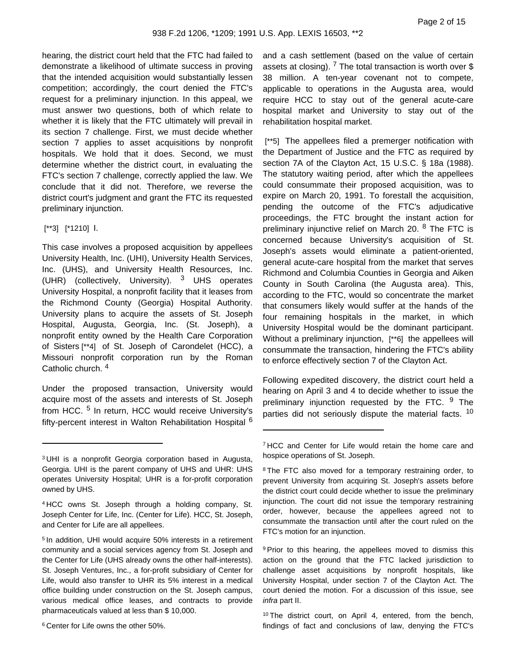hearing, the district court held that the FTC had failed to demonstrate a likelihood of ultimate success in proving that the intended acquisition would substantially lessen competition; accordingly, the court denied the FTC's request for a preliminary injunction. In this appeal, we must answer two questions, both of which relate to whether it is likely that the FTC ultimately will prevail in its section 7 challenge. First, we must decide whether section 7 applies to asset acquisitions by nonprofit hospitals. We hold that it does. Second, we must determine whether the district court, in evaluating the FTC's section 7 challenge, correctly applied the law. We conclude that it did not. Therefore, we reverse the district court's judgment and grant the FTC its requested preliminary injunction.

# [\*\*3] [\*1210] I.

This case involves a proposed acquisition by appellees University Health, Inc. (UHI), University Health Services, Inc. (UHS), and University Health Resources, Inc. (UHR) (collectively, University). <sup>3</sup> UHS operates University Hospital, a nonprofit facility that it leases from the Richmond County (Georgia) Hospital Authority. University plans to acquire the assets of St. Joseph Hospital, Augusta, Georgia, Inc. (St. Joseph), a nonprofit entity owned by the Health Care Corporation of Sisters [\*\*4] of St. Joseph of Carondelet (HCC), a Missouri nonprofit corporation run by the Roman Catholic church. <sup>4</sup>

Under the proposed transaction, University would acquire most of the assets and interests of St. Joseph from HCC. <sup>5</sup> In return, HCC would receive University's fifty-percent interest in Walton Rehabilitation Hospital <sup>6</sup> and a cash settlement (based on the value of certain assets at closing). <sup>7</sup> The total transaction is worth over \$ 38 million. A ten-year covenant not to compete, applicable to operations in the Augusta area, would require HCC to stay out of the general acute-care hospital market and University to stay out of the rehabilitation hospital market.

[\*\*5] The appellees filed a premerger notification with the Department of Justice and the FTC as required by section 7A of the Clayton Act, 15 U.S.C. § 18a (1988). The statutory waiting period, after which the appellees could consummate their proposed acquisition, was to expire on March 20, 1991. To forestall the acquisition, pending the outcome of the FTC's adjudicative proceedings, the FTC brought the instant action for preliminary injunctive relief on March 20. <sup>8</sup> The FTC is concerned because University's acquisition of St. Joseph's assets would eliminate a patient-oriented, general acute-care hospital from the market that serves Richmond and Columbia Counties in Georgia and Aiken County in South Carolina (the Augusta area). This, according to the FTC, would so concentrate the market that consumers likely would suffer at the hands of the four remaining hospitals in the market, in which University Hospital would be the dominant participant. Without a preliminary injunction, [\*\*6] the appellees will consummate the transaction, hindering the FTC's ability to enforce effectively section 7 of the Clayton Act.

Following expedited discovery, the district court held a hearing on April 3 and 4 to decide whether to issue the preliminary injunction requested by the FTC. <sup>9</sup> The parties did not seriously dispute the material facts. <sup>10</sup>

<sup>9</sup> Prior to this hearing, the appellees moved to dismiss this action on the ground that the FTC lacked jurisdiction to challenge asset acquisitions by nonprofit hospitals, like University Hospital, under section 7 of the Clayton Act. The court denied the motion. For a discussion of this issue, see infra part II.

<sup>10</sup> The district court, on April 4, entered, from the bench, findings of fact and conclusions of law, denying the FTC's

<sup>3</sup> UHI is a nonprofit Georgia corporation based in Augusta, Georgia. UHI is the parent company of UHS and UHR: UHS operates University Hospital; UHR is a for-profit corporation owned by UHS.

<sup>4</sup> HCC owns St. Joseph through a holding company, St. Joseph Center for Life, Inc. (Center for Life). HCC, St. Joseph, and Center for Life are all appellees.

<sup>5</sup> In addition, UHI would acquire 50% interests in a retirement community and a social services agency from St. Joseph and the Center for Life (UHS already owns the other half-interests). St. Joseph Ventures, Inc., a for-profit subsidiary of Center for Life, would also transfer to UHR its 5% interest in a medical office building under construction on the St. Joseph campus, various medical office leases, and contracts to provide pharmaceuticals valued at less than \$ 10,000.

<sup>6</sup> Center for Life owns the other 50%.

<sup>&</sup>lt;sup>7</sup> HCC and Center for Life would retain the home care and hospice operations of St. Joseph.

<sup>&</sup>lt;sup>8</sup> The FTC also moved for a temporary restraining order, to prevent University from acquiring St. Joseph's assets before the district court could decide whether to issue the preliminary injunction. The court did not issue the temporary restraining order, however, because the appellees agreed not to consummate the transaction until after the court ruled on the FTC's motion for an injunction.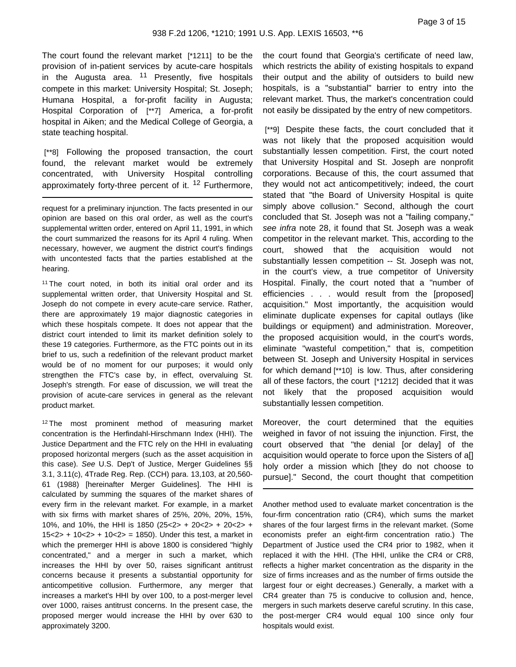The court found the relevant market [\*1211] to be the provision of in-patient services by acute-care hospitals in the Augusta area.  $11$  Presently, five hospitals compete in this market: University Hospital; St. Joseph; Humana Hospital, a for-profit facility in Augusta; Hospital Corporation of [\*\*7] America, a for-profit hospital in Aiken; and the Medical College of Georgia, a state teaching hospital.

[\*\*8] Following the proposed transaction, the court found, the relevant market would be extremely concentrated, with University Hospital controlling approximately forty-three percent of it.  $12$  Furthermore,

request for a preliminary injunction. The facts presented in our opinion are based on this oral order, as well as the court's supplemental written order, entered on April 11, 1991, in which the court summarized the reasons for its April 4 ruling. When necessary, however, we augment the district court's findings with uncontested facts that the parties established at the hearing.

<sup>11</sup> The court noted, in both its initial oral order and its supplemental written order, that University Hospital and St. Joseph do not compete in every acute-care service. Rather, there are approximately 19 major diagnostic categories in which these hospitals compete. It does not appear that the district court intended to limit its market definition solely to these 19 categories. Furthermore, as the FTC points out in its brief to us, such a redefinition of the relevant product market would be of no moment for our purposes; it would only strengthen the FTC's case by, in effect, overvaluing St. Joseph's strength. For ease of discussion, we will treat the provision of acute-care services in general as the relevant product market.

<sup>12</sup> The most prominent method of measuring market concentration is the Herfindahl-Hirschmann Index (HHI). The Justice Department and the FTC rely on the HHI in evaluating proposed horizontal mergers (such as the asset acquisition in this case). See U.S. Dep't of Justice, Merger Guidelines §§ 3.1, 3.11(c), 4Trade Reg. Rep. (CCH) para. 13,103, at 20,560- 61 (1988) [hereinafter Merger Guidelines]. The HHI is calculated by summing the squares of the market shares of every firm in the relevant market. For example, in a market with six firms with market shares of 25%, 20%, 20%, 15%, 10%, and 10%, the HHI is 1850 (25<2> + 20<2> + 20<2> + 15<2> + 10<2> + 10<2> = 1850). Under this test, a market in which the premerger HHI is above 1800 is considered "highly concentrated," and a merger in such a market, which increases the HHI by over 50, raises significant antitrust concerns because it presents a substantial opportunity for anticompetitive collusion. Furthermore, any merger that increases a market's HHI by over 100, to a post-merger level over 1000, raises antitrust concerns. In the present case, the proposed merger would increase the HHI by over 630 to approximately 3200.

the court found that Georgia's certificate of need law, which restricts the ability of existing hospitals to expand their output and the ability of outsiders to build new hospitals, is a "substantial" barrier to entry into the relevant market. Thus, the market's concentration could not easily be dissipated by the entry of new competitors.

[\*\*9] Despite these facts, the court concluded that it was not likely that the proposed acquisition would substantially lessen competition. First, the court noted that University Hospital and St. Joseph are nonprofit corporations. Because of this, the court assumed that they would not act anticompetitively; indeed, the court stated that "the Board of University Hospital is quite simply above collusion." Second, although the court concluded that St. Joseph was not a "failing company," see infra note 28, it found that St. Joseph was a weak competitor in the relevant market. This, according to the court, showed that the acquisition would not substantially lessen competition -- St. Joseph was not, in the court's view, a true competitor of University Hospital. Finally, the court noted that a "number of efficiencies . . . would result from the [proposed] acquisition." Most importantly, the acquisition would eliminate duplicate expenses for capital outlays (like buildings or equipment) and administration. Moreover, the proposed acquisition would, in the court's words, eliminate "wasteful competition," that is, competition between St. Joseph and University Hospital in services for which demand [\*\*10] is low. Thus, after considering all of these factors, the court [\*1212] decided that it was not likely that the proposed acquisition would substantially lessen competition.

Moreover, the court determined that the equities weighed in favor of not issuing the injunction. First, the court observed that "the denial [or delay] of the acquisition would operate to force upon the Sisters of a[] holy order a mission which [they do not choose to pursue]." Second, the court thought that competition

Another method used to evaluate market concentration is the four-firm concentration ratio (CR4), which sums the market shares of the four largest firms in the relevant market. (Some economists prefer an eight-firm concentration ratio.) The Department of Justice used the CR4 prior to 1982, when it replaced it with the HHI. (The HHI, unlike the CR4 or CR8, reflects a higher market concentration as the disparity in the size of firms increases and as the number of firms outside the largest four or eight decreases.) Generally, a market with a CR4 greater than 75 is conducive to collusion and, hence, mergers in such markets deserve careful scrutiny. In this case, the post-merger CR4 would equal 100 since only four hospitals would exist.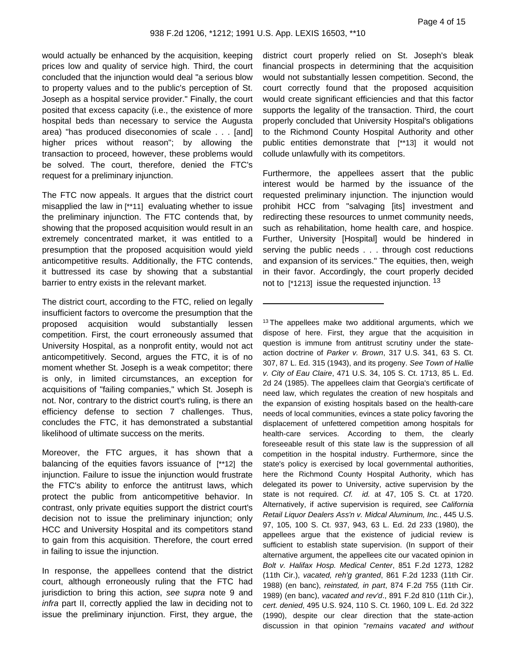would actually be enhanced by the acquisition, keeping prices low and quality of service high. Third, the court concluded that the injunction would deal "a serious blow to property values and to the public's perception of St. Joseph as a hospital service provider." Finally, the court posited that excess capacity (i.e., the existence of more hospital beds than necessary to service the Augusta area) "has produced diseconomies of scale . . . [and] higher prices without reason"; by allowing the transaction to proceed, however, these problems would be solved. The court, therefore, denied the FTC's request for a preliminary injunction.

The FTC now appeals. It argues that the district court misapplied the law in [\*\*11] evaluating whether to issue the preliminary injunction. The FTC contends that, by showing that the proposed acquisition would result in an extremely concentrated market, it was entitled to a presumption that the proposed acquisition would yield anticompetitive results. Additionally, the FTC contends, it buttressed its case by showing that a substantial barrier to entry exists in the relevant market.

The district court, according to the FTC, relied on legally insufficient factors to overcome the presumption that the proposed acquisition would substantially lessen competition. First, the court erroneously assumed that University Hospital, as a nonprofit entity, would not act anticompetitively. Second, argues the FTC, it is of no moment whether St. Joseph is a weak competitor; there is only, in limited circumstances, an exception for acquisitions of "failing companies," which St. Joseph is not. Nor, contrary to the district court's ruling, is there an efficiency defense to section 7 challenges. Thus, concludes the FTC, it has demonstrated a substantial likelihood of ultimate success on the merits.

Moreover, the FTC argues, it has shown that a balancing of the equities favors issuance of [\*\*12] the injunction. Failure to issue the injunction would frustrate the FTC's ability to enforce the antitrust laws, which protect the public from anticompetitive behavior. In contrast, only private equities support the district court's decision not to issue the preliminary injunction; only HCC and University Hospital and its competitors stand to gain from this acquisition. Therefore, the court erred in failing to issue the injunction.

In response, the appellees contend that the district court, although erroneously ruling that the FTC had jurisdiction to bring this action, see supra note 9 and infra part II, correctly applied the law in deciding not to issue the preliminary injunction. First, they argue, the

district court properly relied on St. Joseph's bleak financial prospects in determining that the acquisition would not substantially lessen competition. Second, the court correctly found that the proposed acquisition would create significant efficiencies and that this factor supports the legality of the transaction. Third, the court properly concluded that University Hospital's obligations to the Richmond County Hospital Authority and other public entities demonstrate that [\*\*13] it would not collude unlawfully with its competitors.

Furthermore, the appellees assert that the public interest would be harmed by the issuance of the requested preliminary injunction. The injunction would prohibit HCC from "salvaging [its] investment and redirecting these resources to unmet community needs, such as rehabilitation, home health care, and hospice. Further, University [Hospital] would be hindered in serving the public needs . . . through cost reductions and expansion of its services." The equities, then, weigh in their favor. Accordingly, the court properly decided not to  $[1213]$  issue the requested injunction. <sup>13</sup>

<sup>13</sup> The appellees make two additional arguments, which we dispose of here. First, they argue that the acquisition in question is immune from antitrust scrutiny under the stateaction doctrine of Parker v. Brown, 317 U.S. 341, 63 S. Ct. 307, 87 L. Ed. 315 (1943), and its progeny. See Town of Hallie v. City of Eau Claire, 471 U.S. 34, 105 S. Ct. 1713, 85 L. Ed. 2d 24 (1985). The appellees claim that Georgia's certificate of need law, which regulates the creation of new hospitals and the expansion of existing hospitals based on the health-care needs of local communities, evinces a state policy favoring the displacement of unfettered competition among hospitals for health-care services. According to them, the clearly foreseeable result of this state law is the suppression of all competition in the hospital industry. Furthermore, since the state's policy is exercised by local governmental authorities, here the Richmond County Hospital Authority, which has delegated its power to University, active supervision by the state is not required. Cf. id. at 47, 105 S. Ct. at 1720. Alternatively, if active supervision is required, see California Retail Liquor Dealers Ass'n v. Midcal Aluminum, Inc., 445 U.S. 97, 105, 100 S. Ct. 937, 943, 63 L. Ed. 2d 233 (1980), the appellees argue that the existence of judicial review is sufficient to establish state supervision. (In support of their alternative argument, the appellees cite our vacated opinion in Bolt v. Halifax Hosp. Medical Center, 851 F.2d 1273, 1282 (11th Cir.), vacated, reh'g granted, 861 F.2d 1233 (11th Cir. 1988) (en banc), reinstated, in part, 874 F.2d 755 (11th Cir. 1989) (en banc), vacated and rev'd., 891 F.2d 810 (11th Cir.), cert. denied, 495 U.S. 924, 110 S. Ct. 1960, 109 L. Ed. 2d 322 (1990), despite our clear direction that the state-action discussion in that opinion "remains vacated and without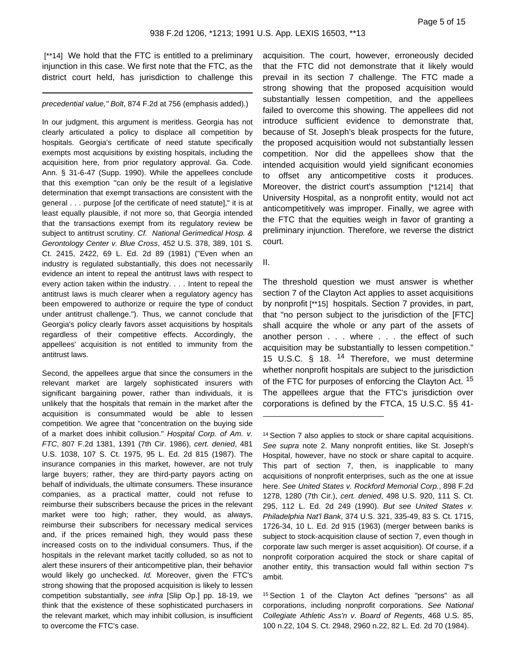[\*\*14] We hold that the FTC is entitled to a preliminary injunction in this case. We first note that the FTC, as the district court held, has jurisdiction to challenge this

precedential value," Bolt, 874 F.2d at 756 (emphasis added).)

In our judgment, this argument is meritless. Georgia has not clearly articulated a policy to displace all competition by hospitals. Georgia's certificate of need statute specifically exempts most acquisitions by existing hospitals, including the acquisition here, from prior regulatory approval. Ga. Code. Ann. § 31-6-47 (Supp. 1990). While the appellees conclude that this exemption "can only be the result of a legislative determination that exempt transactions are consistent with the general . . . purpose [of the certificate of need statute]," it is at least equally plausible, if not more so, that Georgia intended that the transactions exempt from its regulatory review be subject to antitrust scrutiny. Cf. National Gerimedical Hosp. & Gerontology Center v. Blue Cross, 452 U.S. 378, 389, 101 S. Ct. 2415, 2422, 69 L. Ed. 2d 89 (1981) ("Even when an industry is regulated substantially, this does not necessarily evidence an intent to repeal the antitrust laws with respect to every action taken within the industry. . . . Intent to repeal the antitrust laws is much clearer when a regulatory agency has been empowered to authorize or require the type of conduct under antitrust challenge."). Thus, we cannot conclude that Georgia's policy clearly favors asset acquisitions by hospitals regardless of their competitive effects. Accordingly, the appellees' acquisition is not entitled to immunity from the antitrust laws.

Second, the appellees argue that since the consumers in the relevant market are largely sophisticated insurers with significant bargaining power, rather than individuals, it is unlikely that the hospitals that remain in the market after the acquisition is consummated would be able to lessen competition. We agree that "concentration on the buying side of a market does inhibit collusion." Hospital Corp. of Am. v. FTC, 807 F.2d 1381, 1391 (7th Cir. 1986), cert. denied, 481 U.S. 1038, 107 S. Ct. 1975, 95 L. Ed. 2d 815 (1987). The insurance companies in this market, however, are not truly large buyers; rather, they are third-party payors acting on behalf of individuals, the ultimate consumers. These insurance companies, as a practical matter, could not refuse to reimburse their subscribers because the prices in the relevant market were too high; rather, they would, as always, reimburse their subscribers for necessary medical services and, if the prices remained high, they would pass these increased costs on to the individual consumers. Thus, if the hospitals in the relevant market tacitly colluded, so as not to alert these insurers of their anticompetitive plan, their behavior would likely go unchecked. Id. Moreover, given the FTC's strong showing that the proposed acquisition is likely to lessen competition substantially, see infra [Slip Op.] pp. 18-19, we think that the existence of these sophisticated purchasers in the relevant market, which may inhibit collusion, is insufficient to overcome the FTC's case.

acquisition. The court, however, erroneously decided that the FTC did not demonstrate that it likely would prevail in its section 7 challenge. The FTC made a strong showing that the proposed acquisition would substantially lessen competition, and the appellees failed to overcome this showing. The appellees did not introduce sufficient evidence to demonstrate that, because of St. Joseph's bleak prospects for the future, the proposed acquisition would not substantially lessen competition. Nor did the appellees show that the intended acquisition would yield significant economies to offset any anticompetitive costs it produces. Moreover, the district court's assumption [\*1214] that University Hospital, as a nonprofit entity, would not act anticompetitively was improper. Finally, we agree with the FTC that the equities weigh in favor of granting a preliminary injunction. Therefore, we reverse the district court.

II.

The threshold question we must answer is whether section 7 of the Clayton Act applies to asset acquisitions by nonprofit [\*\*15] hospitals. Section 7 provides, in part, that "no person subject to the jurisdiction of the [FTC] shall acquire the whole or any part of the assets of another person . . . where . . . the effect of such acquisition may be substantially to lessen competition." 15 U.S.C. § 18. <sup>14</sup> Therefore, we must determine whether nonprofit hospitals are subject to the jurisdiction of the FTC for purposes of enforcing the Clayton Act. <sup>15</sup> The appellees argue that the FTC's jurisdiction over corporations is defined by the FTCA, 15 U.S.C. §§ 41-

<sup>14</sup> Section 7 also applies to stock or share capital acquisitions. See supra note 2. Many nonprofit entities, like St. Joseph's Hospital, however, have no stock or share capital to acquire. This part of section 7, then, is inapplicable to many acquisitions of nonprofit enterprises, such as the one at issue here. See United States v. Rockford Memorial Corp., 898 F.2d 1278, 1280 (7th Cir.), cert. denied, 498 U.S. 920, 111 S. Ct. 295, 112 L. Ed. 2d 249 (1990). But see United States v. Philadelphia Nat'l Bank, 374 U.S. 321, 335-49, 83 S. Ct. 1715, 1726-34, 10 L. Ed. 2d 915 (1963) (merger between banks is subject to stock-acquisition clause of section 7, even though in corporate law such merger is asset acquisition). Of course, if a nonprofit corporation acquired the stock or share capital of another entity, this transaction would fall within section 7's ambit.

<sup>15</sup> Section 1 of the Clayton Act defines "persons" as all corporations, including nonprofit corporations. See National Collegiate Athletic Ass'n v. Board of Regents, 468 U.S. 85, 100 n.22, 104 S. Ct. 2948, 2960 n.22, 82 L. Ed. 2d 70 (1984).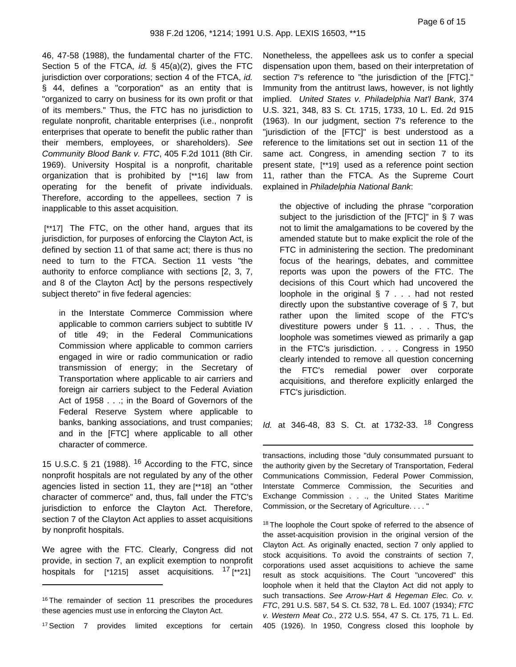46, 47-58 (1988), the fundamental charter of the FTC. Section 5 of the FTCA, id.  $\S$  45(a)(2), gives the FTC jurisdiction over corporations; section 4 of the FTCA, *id.* § 44, defines a "corporation" as an entity that is "organized to carry on business for its own profit or that of its members." Thus, the FTC has no jurisdiction to regulate nonprofit, charitable enterprises (i.e., nonprofit enterprises that operate to benefit the public rather than their members, employees, or shareholders). See Community Blood Bank v. FTC, 405 F.2d 1011 (8th Cir. 1969). University Hospital is a nonprofit, charitable organization that is prohibited by [\*\*16] law from operating for the benefit of private individuals. Therefore, according to the appellees, section 7 is inapplicable to this asset acquisition.

[\*\*17] The FTC, on the other hand, argues that its jurisdiction, for purposes of enforcing the Clayton Act, is defined by section 11 of that same act; there is thus no need to turn to the FTCA. Section 11 vests "the authority to enforce compliance with sections [2, 3, 7, and 8 of the Clayton Act] by the persons respectively subject thereto" in five federal agencies:

in the Interstate Commerce Commission where applicable to common carriers subject to subtitle IV of title 49; in the Federal Communications Commission where applicable to common carriers engaged in wire or radio communication or radio transmission of energy; in the Secretary of Transportation where applicable to air carriers and foreign air carriers subject to the Federal Aviation Act of 1958 . . .; in the Board of Governors of the Federal Reserve System where applicable to banks, banking associations, and trust companies; and in the [FTC] where applicable to all other character of commerce.

15 U.S.C. § 21 (1988).  $16$  According to the FTC, since nonprofit hospitals are not regulated by any of the other agencies listed in section 11, they are [\*\*18] an "other character of commerce" and, thus, fall under the FTC's jurisdiction to enforce the Clayton Act. Therefore, section 7 of the Clayton Act applies to asset acquisitions by nonprofit hospitals.

We agree with the FTC. Clearly, Congress did not provide, in section 7, an explicit exemption to nonprofit hospitals for  $\lceil$ \*1215] asset acquisitions. <sup>17</sup> [\*\*21]

<sup>17</sup> Section 7 provides limited exceptions for certain

Nonetheless, the appellees ask us to confer a special dispensation upon them, based on their interpretation of section 7's reference to "the jurisdiction of the [FTC]." Immunity from the antitrust laws, however, is not lightly implied. United States v. Philadelphia Nat'l Bank, 374 U.S. 321, 348, 83 S. Ct. 1715, 1733, 10 L. Ed. 2d 915 (1963). In our judgment, section 7's reference to the "jurisdiction of the [FTC]" is best understood as a reference to the limitations set out in section 11 of the same act. Congress, in amending section 7 to its present state, [\*\*19] used as a reference point section 11, rather than the FTCA. As the Supreme Court explained in Philadelphia National Bank:

the objective of including the phrase "corporation subject to the jurisdiction of the [FTC]" in § 7 was not to limit the amalgamations to be covered by the amended statute but to make explicit the role of the FTC in administering the section. The predominant focus of the hearings, debates, and committee reports was upon the powers of the FTC. The decisions of this Court which had uncovered the loophole in the original  $\S 7$ ... had not rested directly upon the substantive coverage of § 7, but rather upon the limited scope of the FTC's divestiture powers under  $\S$  11. . . . Thus, the loophole was sometimes viewed as primarily a gap in the FTC's jurisdiction. . . . Congress in 1950 clearly intended to remove all question concerning the FTC's remedial power over corporate acquisitions, and therefore explicitly enlarged the FTC's jurisdiction.

Id. at 346-48, 83 S. Ct. at 1732-33. <sup>18</sup> Congress

transactions, including those "duly consummated pursuant to the authority given by the Secretary of Transportation, Federal Communications Commission, Federal Power Commission, Interstate Commerce Commission, the Securities and Exchange Commission . . ., the United States Maritime Commission, or the Secretary of Agriculture. . . . "

<sup>18</sup> The loophole the Court spoke of referred to the absence of the asset-acquisition provision in the original version of the Clayton Act. As originally enacted, section 7 only applied to stock acquisitions. To avoid the constraints of section 7, corporations used asset acquisitions to achieve the same result as stock acquisitions. The Court "uncovered" this loophole when it held that the Clayton Act did not apply to such transactions. See Arrow-Hart & Hegeman Elec. Co. v. FTC, 291 U.S. 587, 54 S. Ct. 532, 78 L. Ed. 1007 (1934); FTC v. Western Meat Co., 272 U.S. 554, 47 S. Ct. 175, 71 L. Ed. 405 (1926). In 1950, Congress closed this loophole by

<sup>&</sup>lt;sup>16</sup> The remainder of section 11 prescribes the procedures these agencies must use in enforcing the Clayton Act.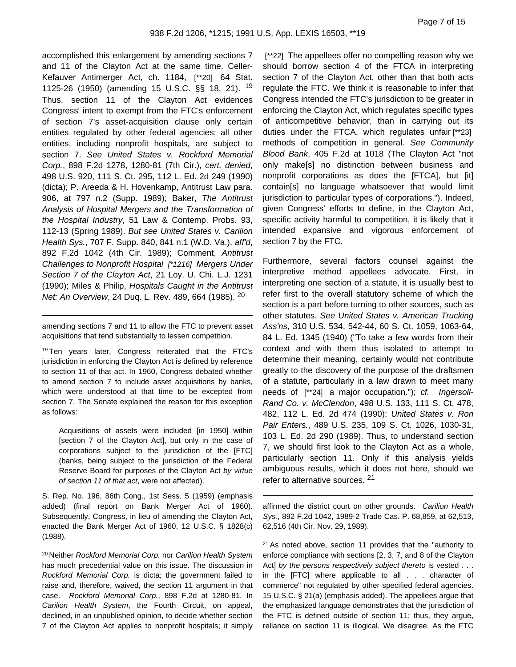accomplished this enlargement by amending sections 7 and 11 of the Clayton Act at the same time. Celler-Kefauver Antimerger Act, ch. 1184, [\*\*20] 64 Stat. 1125-26 (1950) (amending 15 U.S.C. §§ 18, 21). <sup>19</sup> Thus, section 11 of the Clayton Act evidences Congress' intent to exempt from the FTC's enforcement of section 7's asset-acquisition clause only certain entities regulated by other federal agencies; all other entities, including nonprofit hospitals, are subject to section 7. See United States v. Rockford Memorial Corp., 898 F.2d 1278, 1280-81 (7th Cir.), cert. denied, 498 U.S. 920, 111 S. Ct. 295, 112 L. Ed. 2d 249 (1990) (dicta); P. Areeda & H. Hovenkamp, Antitrust Law para. 906, at 797 n.2 (Supp. 1989); Baker, The Antitrust Analysis of Hospital Mergers and the Transformation of the Hospital Industry, 51 Law & Contemp. Probs. 93, 112-13 (Spring 1989). But see United States v. Carilion Health Sys., 707 F. Supp. 840, 841 n.1 (W.D. Va.), aff'd, 892 F.2d 1042 (4th Cir. 1989); Comment, Antitrust Challenges to Nonprofit Hospital [\*1216] Mergers Under Section 7 of the Clayton Act, 21 Loy. U. Chi. L.J. 1231 (1990); Miles & Philip, Hospitals Caught in the Antitrust Net: An Overview, 24 Duq. L. Rev. 489, 664 (1985). <sup>20</sup>

amending sections 7 and 11 to allow the FTC to prevent asset acquisitions that tend substantially to lessen competition.

<sup>19</sup> Ten years later, Congress reiterated that the FTC's jurisdiction in enforcing the Clayton Act is defined by reference to section 11 of that act. In 1960, Congress debated whether to amend section 7 to include asset acquisitions by banks, which were understood at that time to be excepted from section 7. The Senate explained the reason for this exception as follows:

Acquisitions of assets were included [in 1950] within [section 7 of the Clayton Act], but only in the case of corporations subject to the jurisdiction of the [FTC] (banks, being subject to the jurisdiction of the Federal Reserve Board for purposes of the Clayton Act by virtue of section 11 of that act, were not affected).

S. Rep. No. 196, 86th Cong., 1st Sess. 5 (1959) (emphasis added) (final report on Bank Merger Act of 1960). Subsequently, Congress, in lieu of amending the Clayton Act, enacted the Bank Merger Act of 1960, 12 U.S.C. § 1828(c) (1988).

<sup>20</sup> Neither Rockford Memorial Corp. nor Carilion Health System has much precedential value on this issue. The discussion in Rockford Memorial Corp. is dicta; the government failed to raise and, therefore, waived, the section 11 argument in that case. Rockford Memorial Corp., 898 F.2d at 1280-81. In Carilion Health System, the Fourth Circuit, on appeal, declined, in an unpublished opinion, to decide whether section 7 of the Clayton Act applies to nonprofit hospitals; it simply

[\*\*22] The appellees offer no compelling reason why we should borrow section 4 of the FTCA in interpreting section 7 of the Clayton Act, other than that both acts regulate the FTC. We think it is reasonable to infer that Congress intended the FTC's jurisdiction to be greater in enforcing the Clayton Act, which regulates specific types of anticompetitive behavior, than in carrying out its duties under the FTCA, which regulates unfair [\*\*23] methods of competition in general. See Community Blood Bank, 405 F.2d at 1018 (The Clayton Act "not only make[s] no distinction between business and nonprofit corporations as does the [FTCA], but [it] contain[s] no language whatsoever that would limit jurisdiction to particular types of corporations."). Indeed, given Congress' efforts to define, in the Clayton Act, specific activity harmful to competition, it is likely that it intended expansive and vigorous enforcement of section 7 by the FTC.

Furthermore, several factors counsel against the interpretive method appellees advocate. First, in interpreting one section of a statute, it is usually best to refer first to the overall statutory scheme of which the section is a part before turning to other sources, such as other statutes. See United States v. American Trucking Ass'ns, 310 U.S. 534, 542-44, 60 S. Ct. 1059, 1063-64, 84 L. Ed. 1345 (1940) ("To take a few words from their context and with them thus isolated to attempt to determine their meaning, certainly would not contribute greatly to the discovery of the purpose of the draftsmen of a statute, particularly in a law drawn to meet many needs of [\*\*24] a major occupation."); cf. Ingersoll-Rand Co. v. McClendon, 498 U.S. 133, 111 S. Ct. 478, 482, 112 L. Ed. 2d 474 (1990); United States v. Ron Pair Enters., 489 U.S. 235, 109 S. Ct. 1026, 1030-31, 103 L. Ed. 2d 290 (1989). Thus, to understand section 7, we should first look to the Clayton Act as a whole, particularly section 11. Only if this analysis yields ambiguous results, which it does not here, should we refer to alternative sources. <sup>21</sup>

affirmed the district court on other grounds. Carilion Health Sys., 892 F.2d 1042, 1989-2 Trade Cas. P. 68,859, at 62,513, 62,516 (4th Cir. Nov. 29, 1989).

 $21$  As noted above, section 11 provides that the "authority to enforce compliance with sections [2, 3, 7, and 8 of the Clayton Act] by the persons respectively subject thereto is vested . . . in the [FTC] where applicable to all . . . character of commerce" not regulated by other specified federal agencies. 15 U.S.C. § 21(a) (emphasis added). The appellees argue that the emphasized language demonstrates that the jurisdiction of the FTC is defined outside of section 11; thus, they argue, reliance on section 11 is illogical. We disagree. As the FTC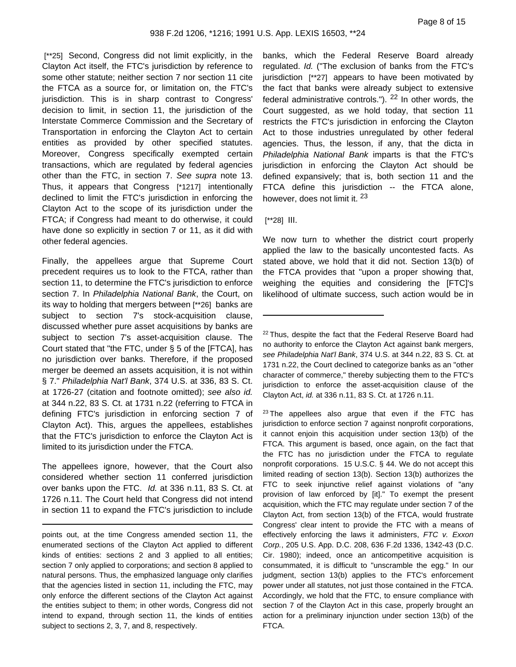[\*\*25] Second, Congress did not limit explicitly, in the Clayton Act itself, the FTC's jurisdiction by reference to some other statute; neither section 7 nor section 11 cite the FTCA as a source for, or limitation on, the FTC's jurisdiction. This is in sharp contrast to Congress' decision to limit, in section 11, the jurisdiction of the Interstate Commerce Commission and the Secretary of Transportation in enforcing the Clayton Act to certain entities as provided by other specified statutes. Moreover, Congress specifically exempted certain transactions, which are regulated by federal agencies other than the FTC, in section 7. See supra note 13. Thus, it appears that Congress [\*1217] intentionally declined to limit the FTC's jurisdiction in enforcing the Clayton Act to the scope of its jurisdiction under the FTCA; if Congress had meant to do otherwise, it could have done so explicitly in section 7 or 11, as it did with other federal agencies.

Finally, the appellees argue that Supreme Court precedent requires us to look to the FTCA, rather than section 11, to determine the FTC's jurisdiction to enforce section 7. In Philadelphia National Bank, the Court, on its way to holding that mergers between [\*\*26] banks are subject to section 7's stock-acquisition clause, discussed whether pure asset acquisitions by banks are subject to section 7's asset-acquisition clause. The Court stated that "the FTC, under § 5 of the [FTCA], has no jurisdiction over banks. Therefore, if the proposed merger be deemed an assets acquisition, it is not within § 7." Philadelphia Nat'l Bank, 374 U.S. at 336, 83 S. Ct. at 1726-27 (citation and footnote omitted); see also id. at 344 n.22, 83 S. Ct. at 1731 n.22 (referring to FTCA in defining FTC's jurisdiction in enforcing section 7 of Clayton Act). This, argues the appellees, establishes that the FTC's jurisdiction to enforce the Clayton Act is limited to its jurisdiction under the FTCA.

The appellees ignore, however, that the Court also considered whether section 11 conferred jurisdiction over banks upon the FTC. Id. at 336 n.11, 83 S. Ct. at 1726 n.11. The Court held that Congress did not intend in section 11 to expand the FTC's jurisdiction to include

banks, which the Federal Reserve Board already regulated. Id. ("The exclusion of banks from the FTC's jurisdiction [\*\*27] appears to have been motivated by the fact that banks were already subject to extensive federal administrative controls.").  $22$  In other words, the Court suggested, as we hold today, that section 11 restricts the FTC's jurisdiction in enforcing the Clayton Act to those industries unregulated by other federal agencies. Thus, the lesson, if any, that the dicta in Philadelphia National Bank imparts is that the FTC's jurisdiction in enforcing the Clayton Act should be defined expansively; that is, both section 11 and the FTCA define this jurisdiction -- the FTCA alone, however, does not limit it. <sup>23</sup>

# [\*\*28] III.

We now turn to whether the district court properly applied the law to the basically uncontested facts. As stated above, we hold that it did not. Section 13(b) of the FTCA provides that "upon a proper showing that, weighing the equities and considering the [FTC]'s likelihood of ultimate success, such action would be in

 $23$  The appellees also argue that even if the FTC has jurisdiction to enforce section 7 against nonprofit corporations, it cannot enjoin this acquisition under section 13(b) of the FTCA. This argument is based, once again, on the fact that the FTC has no jurisdiction under the FTCA to regulate nonprofit corporations. 15 U.S.C. § 44. We do not accept this limited reading of section 13(b). Section 13(b) authorizes the FTC to seek injunctive relief against violations of "any provision of law enforced by [it]." To exempt the present acquisition, which the FTC may regulate under section 7 of the Clayton Act, from section 13(b) of the FTCA, would frustrate Congress' clear intent to provide the FTC with a means of effectively enforcing the laws it administers, FTC v. Exxon Corp., 205 U.S. App. D.C. 208, 636 F.2d 1336, 1342-43 (D.C. Cir. 1980); indeed, once an anticompetitive acquisition is consummated, it is difficult to "unscramble the egg." In our judgment, section 13(b) applies to the FTC's enforcement power under all statutes, not just those contained in the FTCA. Accordingly, we hold that the FTC, to ensure compliance with section 7 of the Clayton Act in this case, properly brought an action for a preliminary injunction under section 13(b) of the FTCA.

points out, at the time Congress amended section 11, the enumerated sections of the Clayton Act applied to different kinds of entities: sections 2 and 3 applied to all entities; section 7 only applied to corporations; and section 8 applied to natural persons. Thus, the emphasized language only clarifies that the agencies listed in section 11, including the FTC, may only enforce the different sections of the Clayton Act against the entities subject to them; in other words, Congress did not intend to expand, through section 11, the kinds of entities subject to sections 2, 3, 7, and 8, respectively.

<sup>&</sup>lt;sup>22</sup> Thus, despite the fact that the Federal Reserve Board had no authority to enforce the Clayton Act against bank mergers, see Philadelphia Nat'l Bank, 374 U.S. at 344 n.22, 83 S. Ct. at 1731 n.22, the Court declined to categorize banks as an "other character of commerce," thereby subjecting them to the FTC's jurisdiction to enforce the asset-acquisition clause of the Clayton Act, id. at 336 n.11, 83 S. Ct. at 1726 n.11.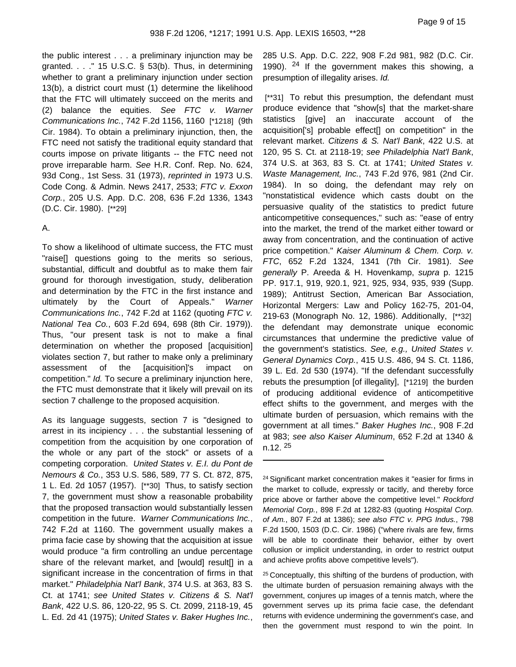the public interest . . . a preliminary injunction may be granted.  $\ldots$  " 15 U.S.C. § 53(b). Thus, in determining whether to grant a preliminary injunction under section 13(b), a district court must (1) determine the likelihood that the FTC will ultimately succeed on the merits and (2) balance the equities. See  $FTC$  v. Warner Communications Inc., 742 F.2d 1156, 1160 [\*1218] (9th Cir. 1984). To obtain a preliminary injunction, then, the FTC need not satisfy the traditional equity standard that courts impose on private litigants -- the FTC need not prove irreparable harm. See H.R. Conf. Rep. No. 624, 93d Cong., 1st Sess. 31 (1973), reprinted in 1973 U.S. Code Cong. & Admin. News 2417, 2533; FTC v. Exxon Corp., 205 U.S. App. D.C. 208, 636 F.2d 1336, 1343 (D.C. Cir. 1980). [\*\*29]

#### A.

To show a likelihood of ultimate success, the FTC must "raise[] questions going to the merits so serious, substantial, difficult and doubtful as to make them fair ground for thorough investigation, study, deliberation and determination by the FTC in the first instance and ultimately by the Court of Appeals." Warner Communications Inc., 742 F.2d at 1162 (quoting FTC v. National Tea Co., 603 F.2d 694, 698 (8th Cir. 1979)). Thus, "our present task is not to make a final determination on whether the proposed [acquisition] violates section 7, but rather to make only a preliminary assessment of the [acquisition]'s impact on competition." Id. To secure a preliminary injunction here, the FTC must demonstrate that it likely will prevail on its section 7 challenge to the proposed acquisition.

As its language suggests, section 7 is "designed to arrest in its incipiency . . . the substantial lessening of competition from the acquisition by one corporation of the whole or any part of the stock" or assets of a competing corporation. United States v. E.I. du Pont de Nemours & Co., 353 U.S. 586, 589, 77 S. Ct. 872, 875, 1 L. Ed. 2d 1057 (1957). [\*\*30] Thus, to satisfy section 7, the government must show a reasonable probability that the proposed transaction would substantially lessen competition in the future. Warner Communications Inc., 742 F.2d at 1160. The government usually makes a prima facie case by showing that the acquisition at issue would produce "a firm controlling an undue percentage share of the relevant market, and [would] result[] in a significant increase in the concentration of firms in that market." Philadelphia Nat'l Bank, 374 U.S. at 363, 83 S. Ct. at 1741; see United States v. Citizens & S. Nat'l Bank, 422 U.S. 86, 120-22, 95 S. Ct. 2099, 2118-19, 45 L. Ed. 2d 41 (1975); United States v. Baker Hughes Inc.,

285 U.S. App. D.C. 222, 908 F.2d 981, 982 (D.C. Cir. 1990).  $24$  If the government makes this showing, a presumption of illegality arises. Id.

[\*\*31] To rebut this presumption, the defendant must produce evidence that "show[s] that the market-share statistics [give] an inaccurate account of the acquisition['s] probable effect[] on competition" in the relevant market. Citizens & S. Nat'l Bank, 422 U.S. at 120, 95 S. Ct. at 2118-19; see Philadelphia Nat'l Bank, 374 U.S. at 363, 83 S. Ct. at 1741; United States v. Waste Management, Inc., 743 F.2d 976, 981 (2nd Cir. 1984). In so doing, the defendant may rely on "nonstatistical evidence which casts doubt on the persuasive quality of the statistics to predict future anticompetitive consequences," such as: "ease of entry into the market, the trend of the market either toward or away from concentration, and the continuation of active price competition." Kaiser Aluminum & Chem. Corp. v. FTC, 652 F.2d 1324, 1341 (7th Cir. 1981). See generally P. Areeda & H. Hovenkamp, supra p. 1215 PP. 917.1, 919, 920.1, 921, 925, 934, 935, 939 (Supp. 1989); Antitrust Section, American Bar Association, Horizontal Mergers: Law and Policy 162-75, 201-04, 219-63 (Monograph No. 12, 1986). Additionally, [\*\*32] the defendant may demonstrate unique economic circumstances that undermine the predictive value of the government's statistics. See, e.g., United States v. General Dynamics Corp., 415 U.S. 486, 94 S. Ct. 1186, 39 L. Ed. 2d 530 (1974). "If the defendant successfully rebuts the presumption [of illegality], [\*1219] the burden of producing additional evidence of anticompetitive effect shifts to the government, and merges with the ultimate burden of persuasion, which remains with the government at all times." Baker Hughes Inc., 908 F.2d at 983; see also Kaiser Aluminum, 652 F.2d at 1340 &  $n.12.$   $25$ 

<sup>25</sup> Conceptually, this shifting of the burdens of production, with the ultimate burden of persuasion remaining always with the government, conjures up images of a tennis match, where the government serves up its prima facie case, the defendant returns with evidence undermining the government's case, and then the government must respond to win the point. In

<sup>24</sup> Significant market concentration makes it "easier for firms in the market to collude, expressly or tacitly, and thereby force price above or farther above the competitive level." Rockford Memorial Corp., 898 F.2d at 1282-83 (quoting Hospital Corp. of Am., 807 F.2d at 1386); see also FTC v. PPG Indus., 798 F.2d 1500, 1503 (D.C. Cir. 1986) ("where rivals are few, firms will be able to coordinate their behavior, either by overt collusion or implicit understanding, in order to restrict output and achieve profits above competitive levels").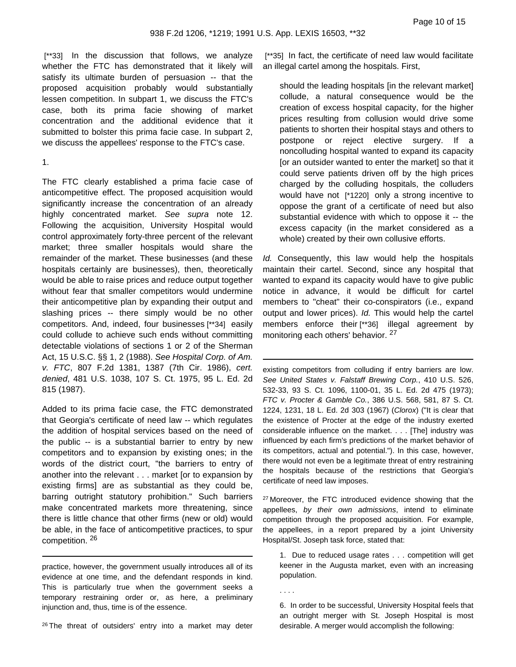[\*\*33] In the discussion that follows, we analyze whether the FTC has demonstrated that it likely will satisfy its ultimate burden of persuasion -- that the proposed acquisition probably would substantially lessen competition. In subpart 1, we discuss the FTC's case, both its prima facie showing of market concentration and the additional evidence that it submitted to bolster this prima facie case. In subpart 2, we discuss the appellees' response to the FTC's case.

1.

The FTC clearly established a prima facie case of anticompetitive effect. The proposed acquisition would significantly increase the concentration of an already highly concentrated market. See supra note 12. Following the acquisition, University Hospital would control approximately forty-three percent of the relevant market; three smaller hospitals would share the remainder of the market. These businesses (and these hospitals certainly are businesses), then, theoretically would be able to raise prices and reduce output together without fear that smaller competitors would undermine their anticompetitive plan by expanding their output and slashing prices -- there simply would be no other competitors. And, indeed, four businesses [\*\*34] easily could collude to achieve such ends without committing detectable violations of sections 1 or 2 of the Sherman Act, 15 U.S.C. §§ 1, 2 (1988). See Hospital Corp. of Am. v. FTC, 807 F.2d 1381, 1387 (7th Cir. 1986), cert. denied, 481 U.S. 1038, 107 S. Ct. 1975, 95 L. Ed. 2d 815 (1987).

Added to its prima facie case, the FTC demonstrated that Georgia's certificate of need law -- which regulates the addition of hospital services based on the need of the public -- is a substantial barrier to entry by new competitors and to expansion by existing ones; in the words of the district court, "the barriers to entry of another into the relevant . . . market [or to expansion by existing firms] are as substantial as they could be, barring outright statutory prohibition." Such barriers make concentrated markets more threatening, since there is little chance that other firms (new or old) would be able, in the face of anticompetitive practices, to spur competition. <sup>26</sup>

practice, however, the government usually introduces all of its evidence at one time, and the defendant responds in kind. This is particularly true when the government seeks a temporary restraining order or, as here, a preliminary injunction and, thus, time is of the essence.

<sup>26</sup> The threat of outsiders' entry into a market may deter

[\*\*35] In fact, the certificate of need law would facilitate an illegal cartel among the hospitals. First,

should the leading hospitals [in the relevant market] collude, a natural consequence would be the creation of excess hospital capacity, for the higher prices resulting from collusion would drive some patients to shorten their hospital stays and others to postpone or reject elective surgery. If a noncolluding hospital wanted to expand its capacity [or an outsider wanted to enter the market] so that it could serve patients driven off by the high prices charged by the colluding hospitals, the colluders would have not [\*1220] only a strong incentive to oppose the grant of a certificate of need but also substantial evidence with which to oppose it -- the excess capacity (in the market considered as a whole) created by their own collusive efforts.

Id. Consequently, this law would help the hospitals maintain their cartel. Second, since any hospital that wanted to expand its capacity would have to give public notice in advance, it would be difficult for cartel members to "cheat" their co-conspirators (i.e., expand output and lower prices). Id. This would help the cartel members enforce their [\*\*36] illegal agreement by monitoring each others' behavior. <sup>27</sup>

existing competitors from colluding if entry barriers are low. See United States v. Falstaff Brewing Corp., 410 U.S. 526, 532-33, 93 S. Ct. 1096, 1100-01, 35 L. Ed. 2d 475 (1973); FTC v. Procter & Gamble Co., 386 U.S. 568, 581, 87 S. Ct. 1224, 1231, 18 L. Ed. 2d 303 (1967) (Clorox) ("It is clear that the existence of Procter at the edge of the industry exerted considerable influence on the market. . . . [The] industry was influenced by each firm's predictions of the market behavior of its competitors, actual and potential."). In this case, however, there would not even be a legitimate threat of entry restraining the hospitals because of the restrictions that Georgia's certificate of need law imposes.

<sup>27</sup> Moreover, the FTC introduced evidence showing that the appellees, by their own admissions, intend to eliminate competition through the proposed acquisition. For example, the appellees, in a report prepared by a joint University Hospital/St. Joseph task force, stated that:

1. Due to reduced usage rates . . . competition will get keener in the Augusta market, even with an increasing population.

. . . .

6. In order to be successful, University Hospital feels that an outright merger with St. Joseph Hospital is most desirable. A merger would accomplish the following: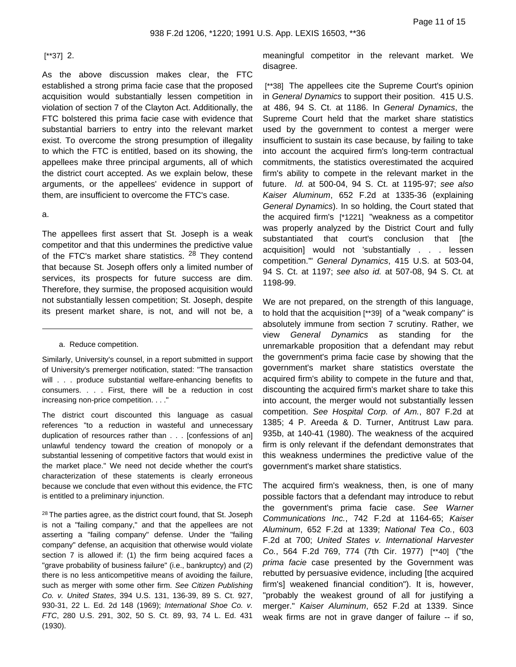# [\*\*37] 2.

As the above discussion makes clear, the FTC established a strong prima facie case that the proposed acquisition would substantially lessen competition in violation of section 7 of the Clayton Act. Additionally, the FTC bolstered this prima facie case with evidence that substantial barriers to entry into the relevant market exist. To overcome the strong presumption of illegality to which the FTC is entitled, based on its showing, the appellees make three principal arguments, all of which the district court accepted. As we explain below, these arguments, or the appellees' evidence in support of them, are insufficient to overcome the FTC's case.

#### a.

The appellees first assert that St. Joseph is a weak competitor and that this undermines the predictive value of the FTC's market share statistics. <sup>28</sup> They contend that because St. Joseph offers only a limited number of services, its prospects for future success are dim. Therefore, they surmise, the proposed acquisition would not substantially lessen competition; St. Joseph, despite its present market share, is not, and will not be, a

a. Reduce competition.

Similarly, University's counsel, in a report submitted in support of University's premerger notification, stated: "The transaction will . . . produce substantial welfare-enhancing benefits to consumers. . . . First, there will be a reduction in cost increasing non-price competition. . . ."

The district court discounted this language as casual references "to a reduction in wasteful and unnecessary duplication of resources rather than . . . [confessions of an] unlawful tendency toward the creation of monopoly or a substantial lessening of competitive factors that would exist in the market place." We need not decide whether the court's characterization of these statements is clearly erroneous because we conclude that even without this evidence, the FTC is entitled to a preliminary injunction.

<sup>28</sup> The parties agree, as the district court found, that St. Joseph is not a "failing company," and that the appellees are not asserting a "failing company" defense. Under the "failing company" defense, an acquisition that otherwise would violate section 7 is allowed if: (1) the firm being acquired faces a "grave probability of business failure" (i.e., bankruptcy) and (2) there is no less anticompetitive means of avoiding the failure, such as merger with some other firm. See Citizen Publishing Co. v. United States, 394 U.S. 131, 136-39, 89 S. Ct. 927, 930-31, 22 L. Ed. 2d 148 (1969); International Shoe Co. v. FTC, 280 U.S. 291, 302, 50 S. Ct. 89, 93, 74 L. Ed. 431 (1930).

meaningful competitor in the relevant market. We disagree.

[\*\*38] The appellees cite the Supreme Court's opinion in General Dynamics to support their position. 415 U.S. at 486, 94 S. Ct. at 1186. In General Dynamics, the Supreme Court held that the market share statistics used by the government to contest a merger were insufficient to sustain its case because, by failing to take into account the acquired firm's long-term contractual commitments, the statistics overestimated the acquired firm's ability to compete in the relevant market in the future. Id. at 500-04, 94 S. Ct. at 1195-97; see also Kaiser Aluminum, 652 F.2d at 1335-36 (explaining General Dynamics). In so holding, the Court stated that the acquired firm's [\*1221] "weakness as a competitor was properly analyzed by the District Court and fully substantiated that court's conclusion that [the acquisition] would not 'substantially . . . lessen competition.'" General Dynamics, 415 U.S. at 503-04, 94 S. Ct. at 1197; see also id. at 507-08, 94 S. Ct. at 1198-99.

We are not prepared, on the strength of this language, to hold that the acquisition [\*\*39] of a "weak company" is absolutely immune from section 7 scrutiny. Rather, we view General Dynamics as standing for the unremarkable proposition that a defendant may rebut the government's prima facie case by showing that the government's market share statistics overstate the acquired firm's ability to compete in the future and that, discounting the acquired firm's market share to take this into account, the merger would not substantially lessen competition. See Hospital Corp. of Am., 807 F.2d at 1385; 4 P. Areeda & D. Turner, Antitrust Law para. 935b, at 140-41 (1980). The weakness of the acquired firm is only relevant if the defendant demonstrates that this weakness undermines the predictive value of the government's market share statistics.

The acquired firm's weakness, then, is one of many possible factors that a defendant may introduce to rebut the government's prima facie case. See Warner Communications Inc., 742 F.2d at 1164-65; Kaiser Aluminum, 652 F.2d at 1339; National Tea Co., 603 F.2d at 700; United States v. International Harvester Co., 564 F.2d 769, 774 (7th Cir. 1977) [\*\*40] ("the prima facie case presented by the Government was rebutted by persuasive evidence, including [the acquired firm's] weakened financial condition"). It is, however, "probably the weakest ground of all for justifying a merger." Kaiser Aluminum, 652 F.2d at 1339. Since weak firms are not in grave danger of failure -- if so,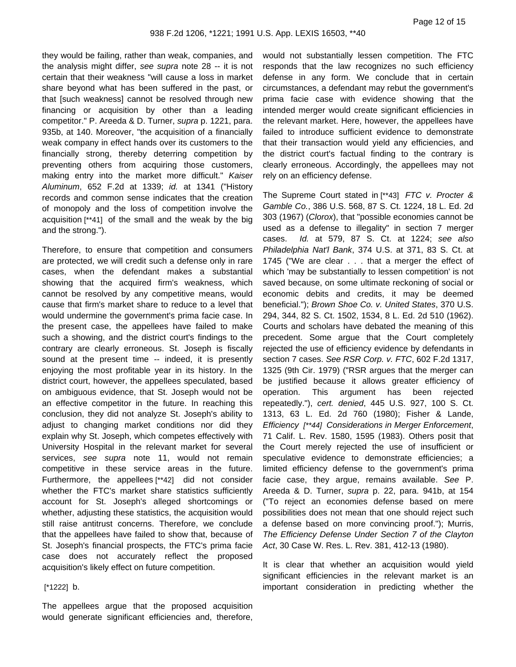they would be failing, rather than weak, companies, and the analysis might differ, see supra note 28 -- it is not certain that their weakness "will cause a loss in market share beyond what has been suffered in the past, or that [such weakness] cannot be resolved through new financing or acquisition by other than a leading competitor." P. Areeda & D. Turner, supra p. 1221, para. 935b, at 140. Moreover, "the acquisition of a financially weak company in effect hands over its customers to the financially strong, thereby deterring competition by preventing others from acquiring those customers, making entry into the market more difficult." Kaiser Aluminum, 652 F.2d at 1339; id. at 1341 ("History records and common sense indicates that the creation of monopoly and the loss of competition involve the acquisition [\*\*41] of the small and the weak by the big and the strong.").

Therefore, to ensure that competition and consumers are protected, we will credit such a defense only in rare cases, when the defendant makes a substantial showing that the acquired firm's weakness, which cannot be resolved by any competitive means, would cause that firm's market share to reduce to a level that would undermine the government's prima facie case. In the present case, the appellees have failed to make such a showing, and the district court's findings to the contrary are clearly erroneous. St. Joseph is fiscally sound at the present time -- indeed, it is presently enjoying the most profitable year in its history. In the district court, however, the appellees speculated, based on ambiguous evidence, that St. Joseph would not be an effective competitor in the future. In reaching this conclusion, they did not analyze St. Joseph's ability to adjust to changing market conditions nor did they explain why St. Joseph, which competes effectively with University Hospital in the relevant market for several services, see supra note 11, would not remain competitive in these service areas in the future. Furthermore, the appellees [\*\*42] did not consider whether the FTC's market share statistics sufficiently account for St. Joseph's alleged shortcomings or whether, adjusting these statistics, the acquisition would still raise antitrust concerns. Therefore, we conclude that the appellees have failed to show that, because of St. Joseph's financial prospects, the FTC's prima facie case does not accurately reflect the proposed acquisition's likely effect on future competition.

#### [\*1222] b.

The appellees argue that the proposed acquisition would generate significant efficiencies and, therefore,

would not substantially lessen competition. The FTC responds that the law recognizes no such efficiency defense in any form. We conclude that in certain circumstances, a defendant may rebut the government's prima facie case with evidence showing that the intended merger would create significant efficiencies in the relevant market. Here, however, the appellees have failed to introduce sufficient evidence to demonstrate that their transaction would yield any efficiencies, and the district court's factual finding to the contrary is clearly erroneous. Accordingly, the appellees may not rely on an efficiency defense.

The Supreme Court stated in [\*\*43] FTC v. Procter & Gamble Co., 386 U.S. 568, 87 S. Ct. 1224, 18 L. Ed. 2d 303 (1967) (Clorox), that "possible economies cannot be used as a defense to illegality" in section 7 merger cases. Id. at 579, 87 S. Ct. at 1224; see also Philadelphia Nat'l Bank, 374 U.S. at 371, 83 S. Ct. at 1745 ("We are clear . . . that a merger the effect of which 'may be substantially to lessen competition' is not saved because, on some ultimate reckoning of social or economic debits and credits, it may be deemed beneficial."); Brown Shoe Co. v. United States, 370 U.S. 294, 344, 82 S. Ct. 1502, 1534, 8 L. Ed. 2d 510 (1962). Courts and scholars have debated the meaning of this precedent. Some argue that the Court completely rejected the use of efficiency evidence by defendants in section 7 cases. See RSR Corp. v. FTC, 602 F.2d 1317, 1325 (9th Cir. 1979) ("RSR argues that the merger can be justified because it allows greater efficiency of operation. This argument has been rejected repeatedly."), cert. denied, 445 U.S. 927, 100 S. Ct. 1313, 63 L. Ed. 2d 760 (1980); Fisher & Lande, Efficiency [\*\*44] Considerations in Merger Enforcement, 71 Calif. L. Rev. 1580, 1595 (1983). Others posit that the Court merely rejected the use of insufficient or speculative evidence to demonstrate efficiencies; a limited efficiency defense to the government's prima facie case, they argue, remains available. See P. Areeda & D. Turner, supra p. 22, para. 941b, at 154 ("To reject an economies defense based on mere possibilities does not mean that one should reject such a defense based on more convincing proof."); Murris, The Efficiency Defense Under Section 7 of the Clayton Act, 30 Case W. Res. L. Rev. 381, 412-13 (1980).

It is clear that whether an acquisition would yield significant efficiencies in the relevant market is an important consideration in predicting whether the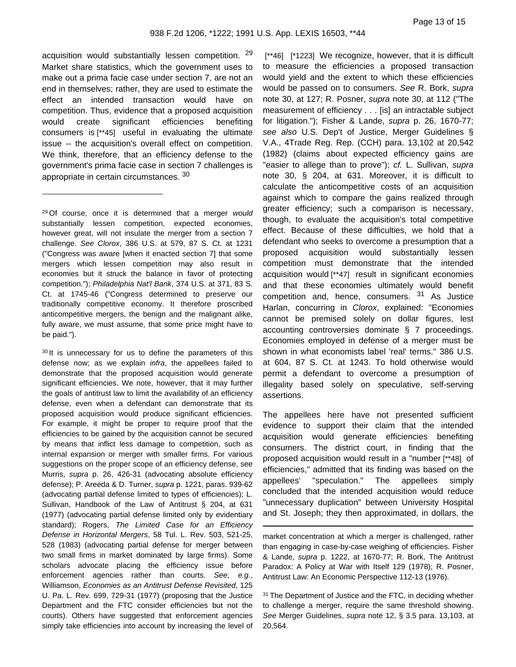acquisition would substantially lessen competition. <sup>29</sup> Market share statistics, which the government uses to make out a prima facie case under section 7, are not an end in themselves; rather, they are used to estimate the effect an intended transaction would have on competition. Thus, evidence that a proposed acquisition would create significant efficiencies benefiting consumers is [\*\*45] useful in evaluating the ultimate issue -- the acquisition's overall effect on competition. We think, therefore, that an efficiency defense to the government's prima facie case in section 7 challenges is appropriate in certain circumstances. <sup>30</sup>

<sup>29</sup> Of course, once it is determined that a merger would substantially lessen competition, expected economies, however great, will not insulate the merger from a section 7 challenge. See Clorox, 386 U.S. at 579, 87 S. Ct. at 1231 ("Congress was aware [when it enacted section 7] that some mergers which lessen competition may also result in economies but it struck the balance in favor of protecting competition."); Philadelphia Nat'l Bank, 374 U.S. at 371, 83 S. Ct. at 1745-46 ("Congress determined to preserve our traditionally competitive economy. It therefore proscribed anticompetitive mergers, the benign and the malignant alike, fully aware, we must assume, that some price might have to be paid.").

<sup>30</sup> It is unnecessary for us to define the parameters of this defense now; as we explain infra, the appellees failed to demonstrate that the proposed acquisition would generate significant efficiencies. We note, however, that it may further the goals of antitrust law to limit the availability of an efficiency defense, even when a defendant can demonstrate that its proposed acquisition would produce significant efficiencies. For example, it might be proper to require proof that the efficiencies to be gained by the acquisition cannot be secured by means that inflict less damage to competition, such as internal expansion or merger with smaller firms. For various suggestions on the proper scope of an efficiency defense, see Murris, supra p. 26, 426-31 (advocating absolute efficiency defense); P. Areeda & D. Turner, supra p. 1221, paras. 939-62 (advocating partial defense limited to types of efficiencies); L. Sullivan, Handbook of the Law of Antitrust § 204, at 631 (1977) (advocating partial defense limited only by evidentiary standard); Rogers, The Limited Case for an Efficiency Defense in Horizontal Mergers, 58 Tul. L. Rev. 503, 521-25, 528 (1983) (advocating partial defense for merger between two small firms in market dominated by large firms). Some scholars advocate placing the efficiency issue before enforcement agencies rather than courts. See, e.g., Williamson, Economies as an Antitrust Defense Revisited, 125 U. Pa. L. Rev. 699, 729-31 (1977) (proposing that the Justice Department and the FTC consider efficiencies but not the courts). Others have suggested that enforcement agencies simply take efficiencies into account by increasing the level of

[\*\*46] [\*1223] We recognize, however, that it is difficult to measure the efficiencies a proposed transaction would yield and the extent to which these efficiencies would be passed on to consumers. See R. Bork, supra note 30, at 127; R. Posner, supra note 30, at 112 ("The measurement of efficiency . . . [is] an intractable subject for litigation."); Fisher & Lande, supra p. 26, 1670-77; see also U.S. Dep't of Justice, Merger Guidelines § V.A., 4Trade Reg. Rep. (CCH) para. 13,102 at 20,542 (1982) (claims about expected efficiency gains are "easier to allege than to prove"); cf. L. Sullivan, supra note 30, § 204, at 631. Moreover, it is difficult to calculate the anticompetitive costs of an acquisition against which to compare the gains realized through greater efficiency; such a comparison is necessary, though, to evaluate the acquisition's total competitive effect. Because of these difficulties, we hold that a defendant who seeks to overcome a presumption that a proposed acquisition would substantially lessen competition must demonstrate that the intended acquisition would [\*\*47] result in significant economies and that these economies ultimately would benefit competition and, hence, consumers. <sup>31</sup> As Justice Harlan, concurring in Clorox, explained: "Economies cannot be premised solely on dollar figures, lest accounting controversies dominate § 7 proceedings. Economies employed in defense of a merger must be shown in what economists label 'real' terms." 386 U.S. at 604, 87 S. Ct. at 1243. To hold otherwise would permit a defendant to overcome a presumption of illegality based solely on speculative, self-serving assertions.

The appellees here have not presented sufficient evidence to support their claim that the intended acquisition would generate efficiencies benefiting consumers. The district court, in finding that the proposed acquisition would result in a "number [\*\*48] of efficiencies," admitted that its finding was based on the appellees' "speculation." The appellees simply concluded that the intended acquisition would reduce "unnecessary duplication" between University Hospital and St. Joseph; they then approximated, in dollars, the

market concentration at which a merger is challenged, rather than engaging in case-by-case weighing of efficiencies. Fisher & Lande, supra p. 1222, at 1670-77; R. Bork, The Antitrust Paradox: A Policy at War with Itself 129 (1978); R. Posner, Antitrust Law: An Economic Perspective 112-13 (1976).

<sup>31</sup> The Department of Justice and the FTC, in deciding whether to challenge a merger, require the same threshold showing. See Merger Guidelines, supra note 12, § 3.5 para. 13,103, at 20,564.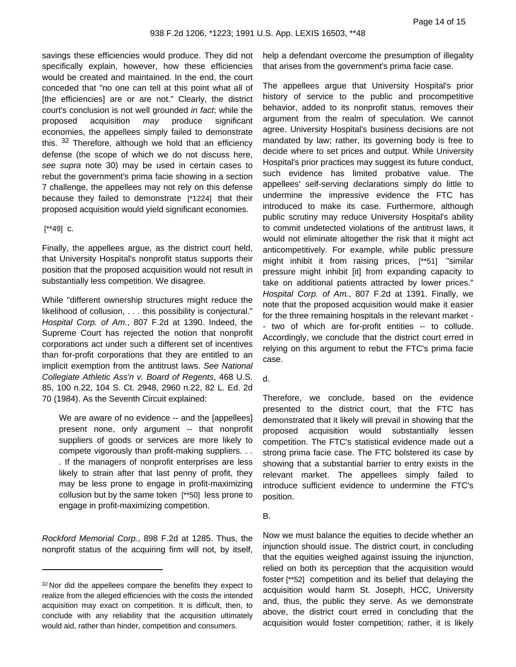savings these efficiencies would produce. They did not specifically explain, however, how these efficiencies would be created and maintained. In the end, the court conceded that "no one can tell at this point what all of [the efficiencies] are or are not." Clearly, the district court's conclusion is not well grounded in fact; while the proposed acquisition may produce significant economies, the appellees simply failed to demonstrate this. 32 Therefore, although we hold that an efficiency defense (the scope of which we do not discuss here, see supra note 30) may be used in certain cases to rebut the government's prima facie showing in a section 7 challenge, the appellees may not rely on this defense because they failed to demonstrate [\*1224] that their proposed acquisition would yield significant economies.

# [\*\*49] c.

Finally, the appellees argue, as the district court held, that University Hospital's nonprofit status supports their position that the proposed acquisition would not result in substantially less competition. We disagree.

While "different ownership structures might reduce the likelihood of collusion, . . . this possibility is conjectural." Hospital Corp. of Am., 807 F.2d at 1390. Indeed, the Supreme Court has rejected the notion that nonprofit corporations act under such a different set of incentives than for-profit corporations that they are entitled to an implicit exemption from the antitrust laws. See National Collegiate Athletic Ass'n v. Board of Regents, 468 U.S. 85, 100 n.22, 104 S. Ct. 2948, 2960 n.22, 82 L. Ed. 2d 70 (1984). As the Seventh Circuit explained:

We are aware of no evidence -- and the [appellees] present none, only argument -- that nonprofit suppliers of goods or services are more likely to compete vigorously than profit-making suppliers. . . . If the managers of nonprofit enterprises are less likely to strain after that last penny of profit, they may be less prone to engage in profit-maximizing collusion but by the same token [\*\*50] less prone to engage in profit-maximizing competition.

Rockford Memorial Corp., 898 F.2d at 1285. Thus, the nonprofit status of the acquiring firm will not, by itself, help a defendant overcome the presumption of illegality that arises from the government's prima facie case.

The appellees argue that University Hospital's prior history of service to the public and procompetitive behavior, added to its nonprofit status, removes their argument from the realm of speculation. We cannot agree. University Hospital's business decisions are not mandated by law; rather, its governing body is free to decide where to set prices and output. While University Hospital's prior practices may suggest its future conduct, such evidence has limited probative value. The appellees' self-serving declarations simply do little to undermine the impressive evidence the FTC has introduced to make its case. Furthermore, although public scrutiny may reduce University Hospital's ability to commit undetected violations of the antitrust laws, it would not eliminate altogether the risk that it might act anticompetitively. For example, while public pressure might inhibit it from raising prices, [\*\*51] "similar pressure might inhibit [it] from expanding capacity to take on additional patients attracted by lower prices." Hospital Corp. of Am., 807 F.2d at 1391. Finally, we note that the proposed acquisition would make it easier for the three remaining hospitals in the relevant market - - two of which are for-profit entities -- to collude. Accordingly, we conclude that the district court erred in relying on this argument to rebut the FTC's prima facie case.

# d.

Therefore, we conclude, based on the evidence presented to the district court, that the FTC has demonstrated that it likely will prevail in showing that the proposed acquisition would substantially lessen competition. The FTC's statistical evidence made out a strong prima facie case. The FTC bolstered its case by showing that a substantial barrier to entry exists in the relevant market. The appellees simply failed to introduce sufficient evidence to undermine the FTC's position.

# B.

Now we must balance the equities to decide whether an injunction should issue. The district court, in concluding that the equities weighed against issuing the injunction, relied on both its perception that the acquisition would foster [\*\*52] competition and its belief that delaying the acquisition would harm St. Joseph, HCC, University and, thus, the public they serve. As we demonstrate above, the district court erred in concluding that the acquisition would foster competition; rather, it is likely

<sup>&</sup>lt;sup>32</sup> Nor did the appellees compare the benefits they expect to realize from the alleged efficiencies with the costs the intended acquisition may exact on competition. It is difficult, then, to conclude with any reliability that the acquisition ultimately would aid, rather than hinder, competition and consumers.